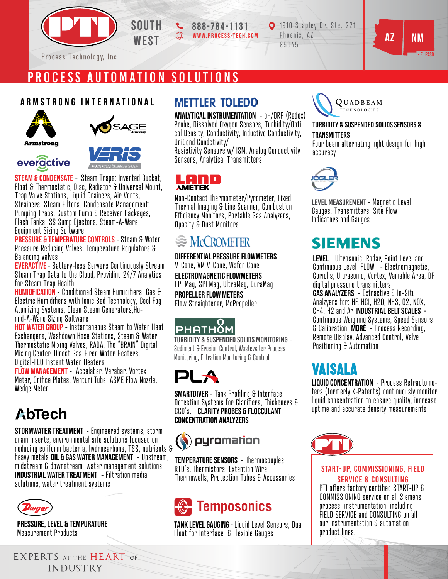

PROCESS AUTOMATION SOLUTIONS

### armstrong international





**Armstrong** 

everactive



**STEAM & CONDENSATE** - Steam Traps: Inverted Bucket, Float & Thermostatic, Disc, Radiator & Universal Mount, Trap Valve Stations, Liquid Drainers, Air Vents, Strainers, Steam Filters. Condensate Management: Pumping Traps, Custom Pump & Receiver Packages, Flash Tanks, SS Sump Ejectors. Steam-A-Ware Equipment Sizing Software

PRESSURE & TEMPERATURE CONTROLS - Steam & Water Pressure Reducing Valves, Temperature Regulators & Balancing Valves

EVERACTIVE - Battery-less Servers Continuously Stream<br>Steam Trap Data to the Cloud, Providing 24/7 Analytics for Steam Trap Health

**HUMIDFICATION** - Conditioned Steam Humidifiers, Gas & Electric Humidifiers with Ionic Bed Technology, Cool Fog Atomizing Systems, Clean Steam Generators,Hu-<br>mid-A-Ware Sizing Software

**HOT WATER GROUP** - Instantaneous Steam to Water Heat Exchangers, Washdown Hose Stations, Steam & Water Thermostatic Mixing Valves, RADA, The "BRAIN" Digital Mixing Center, DIrect Gas-Fired Water Heaters, Digital-FLO Instant Water Heaters

FLOW MANAGEMENT - Accelabar, Verabar, Vortex Meter. Orifice Plates, Venturi Tube, ASME Flow Nozzle, Wedge Meter

# AbTech

STORMWATER TREATMENT - Engineered systems, storm drain inserts, environmental site solutions focused on reducing coliform bacteria, hydrocarbons, TSS, nutrients & heavy metals OIL & GAS WATER MANAGEMENT - Upstream, midstream & downstream water management solutions INDUSTRIAL WATER TREATMENT - Filtration media solutions, water treatment systems



Pressure, Level & Tempurature Measurement Products

EXPERTS AT THE HEART OF INDUSTRY

### **METTLER TOLEDO**

www.process-tech.com

ANALYTICAL INSTRUMENTATION - pH/ORP (Redox) Probe, Dissolved Oxygen Sensors, Turbidity/Optical Density, Conductivity, Inductive Conductivity, UniCond Condctivity/

Resistivity Sensors w/ ISM, Analog Conductivity Sensors, Analytical Transmitters



Non-Contact Thermometer/Pyrometer, Fixed ermal Imaging & Line Scanner, Combustion Eciency Monitors, Portable Gas Analyzers, Opacity & Dust Monitors

### **EXACCROMETER**

DIFFERENTIAL PRESSURE FLOWMETERS V-Cone, VM V-Cone, Wafer Cone ELECTROMAGNETIC FLOWMETERS FPI Mag, SPI Mag, UltraMag, DuraMag PROPELLER FLOW METERS Flow Straightener, McPropeller

### PHAT HOM

Turbidity & Suspended Solids Monitoring - Sediment & Erosion Control, Wastewater Process Monitoring, Filtration Monitoring & Control



**SMARTDIVER** - Tank Profiling & Interface Detection Systems for Clarifiers, Thickeners & CCD's. Clarity Probes & Flocculant Concentration Analyzers



**TEMPERATURE SENSORS** - Thermocouples, RTD's, Thermistors, Extention Wire, ermowells, Protection Tubes & Accessories

# **Temposonics**

TANK LEVEL GAUGING - Liquid Level Sensors, Dual Float for Interface & Flexible Gauges



### Turbidity & Suspended solids sensors & **TRANSMITTERS**

• el pASO

Four beam alternating light design for high accuracy



Level Measurement - Magnetic Level Gauges, Transmitters, Site Flow Indicators and Gauges

### **SIEMENS**

LEVEL - Ultrasonic, Radar, Point Level and Continuous Level FLOW - Electromagnetic, Coriolis, Ultrasonic, Vortex, Variable Area, DP digital pressure transmitters GAS ANALYZERS - Extractive & In-Situ Analzyers for: HF, HCI, H20, NH3, O2, NOX, CH4, H2 and Ar **INDUSTRIAL BELT SCALES** -Continuous Weighing Systems, Speed Sensors & Calibration MORE - Process Recording, Remote Display, Advanced Control, Valve Positioning & Automation

### VAISALA

liquid concentration - Process Refractometers (formerly K-Patents) continuously monitor liquid concentration to ensure quality, increase uptime and accurate density measurements



### start-up, COMMISSIONING, field SERVICE & CONSULTING

PTI offers factory certified START-UP & COMMISSIONING service on all Siemens process instrumentation, including FIELD SERVICE and CONSULTING on all our instrumentation & automation product lines.

WEST  $\bigcirc$  WWW.PROCESS-TECH.COM Phoenix, AZ NAZ NM 1910 Stapley Dr. Ste. 221 Phoenix, AZ 85045